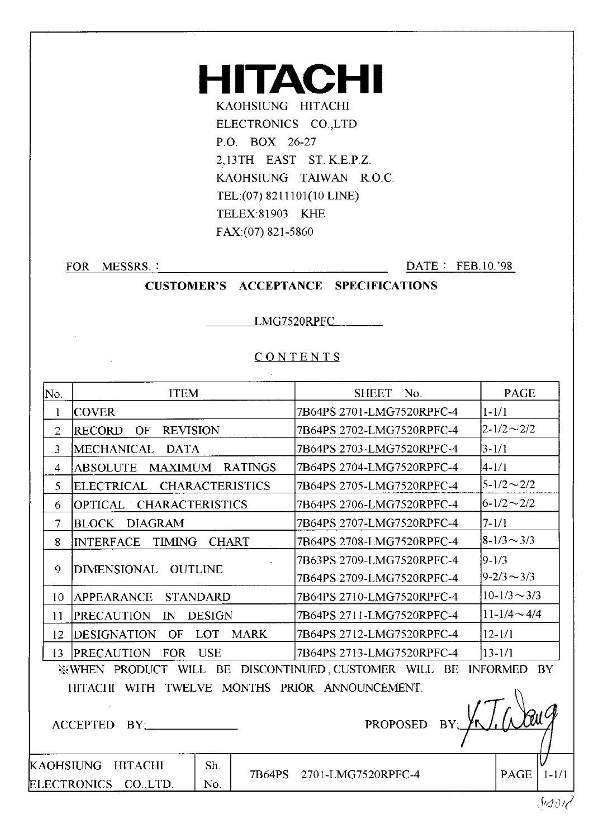### **HITACHI** KAOHSIUNG HITACHI ELECTRONICS CO.,LTD P.O. BOX 26-27 2,13TH EAST ST. K.E.P.Z. KAOHSIUNG TAIWAN R.O.C. TEL:(07) 8211101(10 LINE) TELEX:81903 KHE FAX:(07) 821-5860

FOR MESSRS.:

K

ELECTRONICS CO., LTD.

No.

DATE: FEB.10.'98

**CUSTOMER'S ACCEPTANCE SPECIFICATIONS** 

LMG7520RPFC

#### CONTENTS

| No.            | <b>ITEM</b>                                                 |                 |                | <b>SHEET</b>              | No. | <b>PAGE</b>              |  |  |
|----------------|-------------------------------------------------------------|-----------------|----------------|---------------------------|-----|--------------------------|--|--|
| 1              | <b>COVER</b>                                                |                 |                | 7B64PS 2701-LMG7520RPFC-4 |     | $1 - 1/1$                |  |  |
| $\overline{2}$ | RECORD<br>OF<br><b>REVISION</b>                             |                 |                | 7B64PS 2702-LMG7520RPFC-4 |     | $2 - 1/2 \sim 2/2$       |  |  |
| 3              | MECHANICAL DATA                                             |                 |                | 7B64PS 2703-LMG7520RPFC-4 |     | $3 - 1/1$                |  |  |
| $\overline{4}$ | <b>MAXIMUM</b><br><b>ABSOLUTE</b>                           |                 | <b>RATINGS</b> | 7B64PS 2704-LMG7520RPFC-4 |     | 4-1/1                    |  |  |
| 5              | ELECTRICAL CHARACTERISTICS                                  |                 |                | 7B64PS 2705-LMG7520RPFC-4 |     | $5 - 1/2 \sim 2/2$       |  |  |
| 6              | OPTICAL CHARACTERISTICS                                     |                 |                | 7B64PS 2706-LMG7520RPFC-4 |     | $6 - 1/2 \sim 2/2$       |  |  |
| $\overline{7}$ | <b>DIAGRAM</b><br><b>BLOCK</b>                              |                 |                | 7B64PS 2707-LMG7520RPFC-4 |     | $7 - 1/1$                |  |  |
| 8              | TIMING<br><b>INTERFACE</b>                                  | <b>CHART</b>    |                | 7B64PS 2708-LMG7520RPFC-4 |     | $ 8-1/3 \sim 3/3 $       |  |  |
|                |                                                             |                 |                | 7B63PS 2709-LMG7520RPFC-4 |     | $ 9-1/3 $                |  |  |
| 9              | DIMENSIONAL OUTLINE                                         |                 |                | 7B64PS 2709-LMG7520RPFC-4 |     | $ 9-2/3 \sim 3/3$        |  |  |
| 10             | APPEARANCE                                                  | <b>STANDARD</b> |                | 7B64PS 2710-LMG7520RPFC-4 |     | $10-1/3 \sim 3/3$        |  |  |
| 11             | PRECAUTION<br>$\mathbb{N}$                                  | <b>DESIGN</b>   |                | 7B64PS 2711-LMG7520RPFC-4 |     | $11 - 1/4 \sim 4/4$      |  |  |
| 12             | OF LOT<br><b>DESIGNATION</b>                                |                 | <b>MARK</b>    | 7B64PS 2712-LMG7520RPFC-4 |     | $12 - 1/1$               |  |  |
| 13             | PRECAUTION FOR USE                                          |                 |                | 7B64PS 2713-LMG7520RPFC-4 |     | $13 - 1/1$               |  |  |
|                | <b>XWHEN PRODUCT WILL BE DISCONTINUED, CUSTOMER WILL BE</b> |                 |                |                           |     | <b>INFORMED BY</b>       |  |  |
|                | HITACHI WITH TWELVE MONTHS PRIOR ANNOUNCEMENT.              |                 |                |                           |     |                          |  |  |
|                | PROPOSED BY;<br><b>ACCEPTED</b><br>$BY$ ;                   |                 |                |                           |     |                          |  |  |
|                | AOHSIUNG<br><b>HITACHI</b>                                  | Sh.             | 7B64PS         | 2701-LMG7520RPFC-4        |     | $1 - 1/2$<br><b>PAGE</b> |  |  |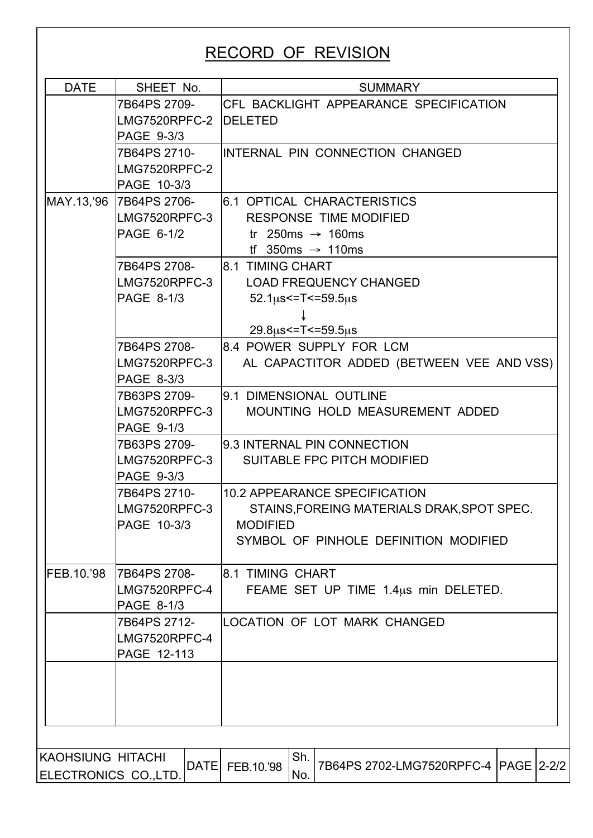## RECORD OF REVISION

| <b>DATE</b>              | SHEET No.<br>7B64PS 2709-<br>LMG7520RPFC-2 DELETED<br>PAGE 9-3/3<br>7B64PS 2710-<br>LMG7520RPFC-2<br>PAGE 10-3/3 | <b>SUMMARY</b><br><b>CFL BACKLIGHT APPEARANCE SPECIFICATION</b><br>INTERNAL PIN CONNECTION CHANGED |  |  |  |  |  |  |  |
|--------------------------|------------------------------------------------------------------------------------------------------------------|----------------------------------------------------------------------------------------------------|--|--|--|--|--|--|--|
|                          |                                                                                                                  |                                                                                                    |  |  |  |  |  |  |  |
|                          |                                                                                                                  |                                                                                                    |  |  |  |  |  |  |  |
|                          |                                                                                                                  |                                                                                                    |  |  |  |  |  |  |  |
|                          |                                                                                                                  |                                                                                                    |  |  |  |  |  |  |  |
|                          |                                                                                                                  |                                                                                                    |  |  |  |  |  |  |  |
|                          |                                                                                                                  |                                                                                                    |  |  |  |  |  |  |  |
|                          |                                                                                                                  |                                                                                                    |  |  |  |  |  |  |  |
|                          | MAY.13, '96 7B64PS 2706-                                                                                         | 6.1 OPTICAL CHARACTERISTICS                                                                        |  |  |  |  |  |  |  |
|                          | LMG7520RPFC-3                                                                                                    | <b>RESPONSE TIME MODIFIED</b>                                                                      |  |  |  |  |  |  |  |
|                          | PAGE 6-1/2                                                                                                       | tr 250ms $\rightarrow$ 160ms                                                                       |  |  |  |  |  |  |  |
|                          |                                                                                                                  | If 350ms $\rightarrow$ 110ms                                                                       |  |  |  |  |  |  |  |
|                          | 7B64PS 2708-                                                                                                     | 8.1 TIMING CHART                                                                                   |  |  |  |  |  |  |  |
|                          | LMG7520RPFC-3                                                                                                    | <b>LOAD FREQUENCY CHANGED</b>                                                                      |  |  |  |  |  |  |  |
|                          | PAGE 8-1/3                                                                                                       | $52.1 \mu s < = T < = 59.5 \mu s$                                                                  |  |  |  |  |  |  |  |
|                          |                                                                                                                  |                                                                                                    |  |  |  |  |  |  |  |
|                          |                                                                                                                  | $29.8\mu s$ <= T <= 59.5 $\mu s$                                                                   |  |  |  |  |  |  |  |
|                          | 7B64PS 2708-                                                                                                     | 8.4 POWER SUPPLY FOR LCM                                                                           |  |  |  |  |  |  |  |
|                          | LMG7520RPFC-3                                                                                                    | AL CAPACTITOR ADDED (BETWEEN VEE AND VSS)                                                          |  |  |  |  |  |  |  |
|                          | PAGE 8-3/3                                                                                                       |                                                                                                    |  |  |  |  |  |  |  |
|                          | 7B63PS 2709-                                                                                                     | 9.1 DIMENSIONAL OUTLINE                                                                            |  |  |  |  |  |  |  |
|                          | LMG7520RPFC-3                                                                                                    | MOUNTING HOLD MEASUREMENT ADDED                                                                    |  |  |  |  |  |  |  |
|                          | PAGE 9-1/3                                                                                                       |                                                                                                    |  |  |  |  |  |  |  |
|                          | 7B63PS 2709-                                                                                                     | 9.3 INTERNAL PIN CONNECTION                                                                        |  |  |  |  |  |  |  |
|                          | LMG7520RPFC-3                                                                                                    | SUITABLE FPC PITCH MODIFIED                                                                        |  |  |  |  |  |  |  |
|                          | PAGE 9-3/3                                                                                                       |                                                                                                    |  |  |  |  |  |  |  |
|                          | 7B64PS 2710-                                                                                                     | 10.2 APPEARANCE SPECIFICATION                                                                      |  |  |  |  |  |  |  |
|                          | LMG7520RPFC-3                                                                                                    | STAINS, FOREING MATERIALS DRAK, SPOT SPEC.                                                         |  |  |  |  |  |  |  |
|                          | PAGE 10-3/3                                                                                                      | <b>MODIFIED</b>                                                                                    |  |  |  |  |  |  |  |
|                          |                                                                                                                  | SYMBOL OF PINHOLE DEFINITION MODIFIED                                                              |  |  |  |  |  |  |  |
|                          |                                                                                                                  |                                                                                                    |  |  |  |  |  |  |  |
| FEB.10.'98               | <b>7B64PS 2708-</b>                                                                                              | <b>8.1 TIMING CHART</b>                                                                            |  |  |  |  |  |  |  |
|                          | LMG7520RPFC-4                                                                                                    | FEAME SET UP TIME 1.4us min DELETED.                                                               |  |  |  |  |  |  |  |
|                          | PAGE 8-1/3                                                                                                       |                                                                                                    |  |  |  |  |  |  |  |
|                          | 7B64PS 2712-                                                                                                     | LOCATION OF LOT MARK CHANGED                                                                       |  |  |  |  |  |  |  |
|                          | LMG7520RPFC-4                                                                                                    |                                                                                                    |  |  |  |  |  |  |  |
|                          | PAGE 12-113                                                                                                      |                                                                                                    |  |  |  |  |  |  |  |
|                          |                                                                                                                  |                                                                                                    |  |  |  |  |  |  |  |
|                          |                                                                                                                  |                                                                                                    |  |  |  |  |  |  |  |
|                          |                                                                                                                  |                                                                                                    |  |  |  |  |  |  |  |
|                          |                                                                                                                  |                                                                                                    |  |  |  |  |  |  |  |
|                          |                                                                                                                  |                                                                                                    |  |  |  |  |  |  |  |
|                          |                                                                                                                  |                                                                                                    |  |  |  |  |  |  |  |
| <b>KAOHSIUNG HITACHI</b> | <b>DATE</b>                                                                                                      | Sh.<br>7B64PS 2702-LMG7520RPFC-4   PAGE   2-2/2<br>FEB.10.'98                                      |  |  |  |  |  |  |  |
| ELECTRONICS CO., LTD.    |                                                                                                                  | No.                                                                                                |  |  |  |  |  |  |  |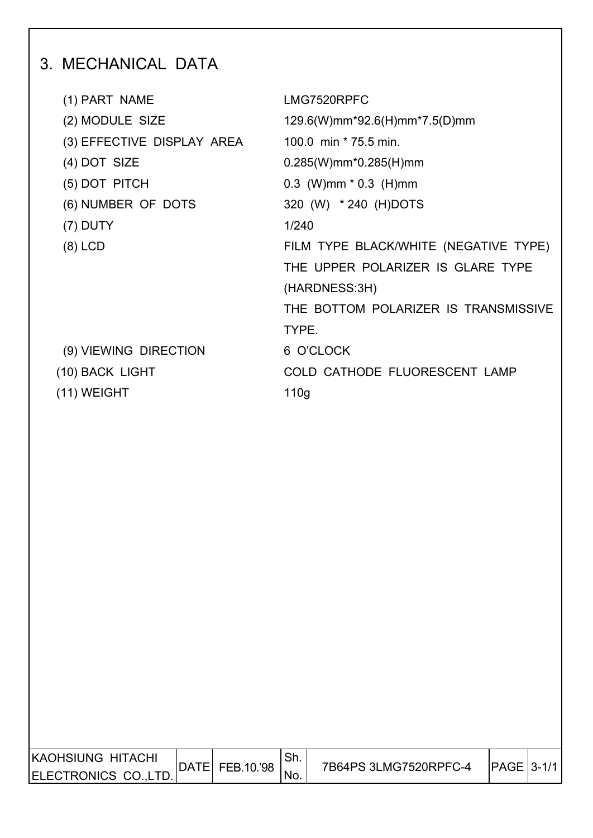# 3. MECHANICAL DATA

| (1) PART NAME              | LMG7520RPFC                           |
|----------------------------|---------------------------------------|
| (2) MODULE SIZE            | 129.6(W)mm*92.6(H)mm*7.5(D)mm         |
| (3) EFFECTIVE DISPLAY AREA | 100.0 min * 75.5 min.                 |
| $(4)$ DOT SIZE             | $0.285(W)$ mm* $0.285(H)$ mm          |
| (5) DOT PITCH              | $0.3$ (W)mm $*$ 0.3 (H)mm             |
| (6) NUMBER OF DOTS         | 320 (W) * 240 (H)DOTS                 |
| $(7)$ DUTY                 | 1/240                                 |
| $(8)$ LCD                  | FILM TYPE BLACK/WHITE (NEGATIVE TYPE) |
|                            | THE UPPER POLARIZER IS GLARE TYPE     |
|                            | (HARDNESS:3H)                         |
|                            | THE BOTTOM POLARIZER IS TRANSMISSIVE  |
|                            | TYPE.                                 |
| (9) VIEWING DIRECTION      | 6 O'CLOCK                             |
| (10) BACK LIGHT            | COLD CATHODE FLUORESCENT LAMP         |
| $(11)$ WEIGHT              | 110 <sub>g</sub>                      |
|                            |                                       |

| <b>KAOHSIUNG HITACHI</b> |             |            | <b>Ch</b><br>. ا اب |                       |               |  |
|--------------------------|-------------|------------|---------------------|-----------------------|---------------|--|
| ELECTRONICS CO.,LT       | <b>DATE</b> | FEB.10.'98 | NO.                 | 7B64PS 3LMG7520RPFC-4 | $IPAGE$ 3-1/1 |  |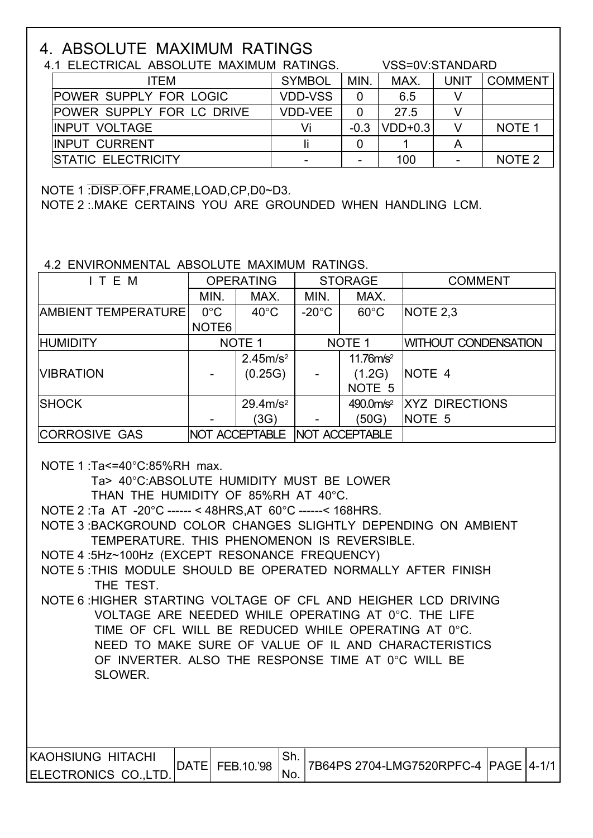## 4. ABSOLUTE MAXIMUM RATINGS

| 4.1 ELECTRICAL ABSOLUTE MAXIMUM RATINGS. |                | VSS=0V:STANDARD |           |             |                   |
|------------------------------------------|----------------|-----------------|-----------|-------------|-------------------|
| ITEM                                     | <b>SYMBOL</b>  | MIN.            | MAX.      | <b>UNIT</b> | <b>COMMENT</b>    |
| <b>POWER SUPPLY FOR LOGIC</b>            | <b>VDD-VSS</b> |                 | 6.5       |             |                   |
| <b>POWER SUPPLY FOR LC DRIVE</b>         | VDD-VEE        |                 | 27.5      |             |                   |
| <b>IINPUT VOLTAGE</b>                    | Vi             | $-0.3$          | $VDD+0.3$ |             | NOTE <sub>1</sub> |
| <b>IINPUT CURRENT</b>                    |                |                 |           |             |                   |
| <b>STATIC ELECTRICITY</b>                |                |                 | 100       |             | NOTE <sub>2</sub> |

NOTE 1 :DISP.OFF,FRAME,LOAD,CP,D0~D3.

NOTE 2 :.MAKE CERTAINS YOU ARE GROUNDED WHEN HANDLING LCM.

### 4.2 ENVIRONMENTAL ABSOLUTE MAXIMUM RATINGS.

| ITEM                       |                   | <b>OPERATING</b>      | <b>STORAGE</b>        |                       | <b>COMMENT</b>              |
|----------------------------|-------------------|-----------------------|-----------------------|-----------------------|-----------------------------|
|                            | MIN.              | MAX.                  | MIN.                  | MAX.                  |                             |
| <b>AMBIENT TEMPERATURE</b> | $0^{\circ}$ C     | $40^{\circ}$ C        | $-20^{\circ}$ C       | $60^{\circ}$ C        | NOTE 2,3                    |
|                            | NOTE <sub>6</sub> |                       |                       |                       |                             |
| <b>HUMIDITY</b>            |                   | NOTE <sub>1</sub>     |                       | NOTE <sub>1</sub>     | <b>WITHOUT CONDENSATION</b> |
|                            |                   | 2.45m/s <sup>2</sup>  |                       | 11.76m/s <sup>2</sup> |                             |
| <b>VIBRATION</b>           |                   | (0.25G)               |                       | (1.2G)                | NOTE 4                      |
|                            |                   |                       |                       | NOTE <sub>5</sub>     |                             |
| <b>SHOCK</b>               |                   | 29.4 m/s <sup>2</sup> |                       | 490.0m/s <sup>2</sup> | <b>XYZ DIRECTIONS</b>       |
|                            |                   | (3G)                  | -                     | (50G)                 | NOTE 5                      |
| <b>CORROSIVE GAS</b>       |                   | NOT ACCEPTABLE        | <b>NOT ACCEPTABLE</b> |                       |                             |

NOTE 1 :Ta<=40°C:85%RH max.

Ta> 40°C:ABSOLUTE HUMIDITY MUST BE LOWER

THAN THE HUMIDITY OF 85%RH AT 40°C.

NOTE 2 :Ta AT -20°C ------ < 48HRS,AT 60°C ------< 168HRS.

 NOTE 3 :BACKGROUND COLOR CHANGES SLIGHTLY DEPENDING ON AMBIENT TEMPERATURE. THIS PHENOMENON IS REVERSIBLE.

NOTE 4 :5Hz~100Hz (EXCEPT RESONANCE FREQUENCY)

 NOTE 5 :THIS MODULE SHOULD BE OPERATED NORMALLY AFTER FINISH THE TEST.

 NOTE 6 :HIGHER STARTING VOLTAGE OF CFL AND HEIGHER LCD DRIVING VOLTAGE ARE NEEDED WHILE OPERATING AT 0°C. THE LIFE TIME OF CFL WILL BE REDUCED WHILE OPERATING AT 0°C. NEED TO MAKE SURE OF VALUE OF IL AND CHARACTERISTICS OF INVERTER. ALSO THE RESPONSE TIME AT 0°C WILL BE SLOWER.

| <b>KAOHSIUNG HITACHI</b> |             |            |      |                                         |  |
|--------------------------|-------------|------------|------|-----------------------------------------|--|
| ELECTRONICS CO., LTD.    | <b>DATE</b> | FEB.10.'98 | 'NO. | 7B64PS 2704-LMG7520RPFC-4  PAGE   4-1/1 |  |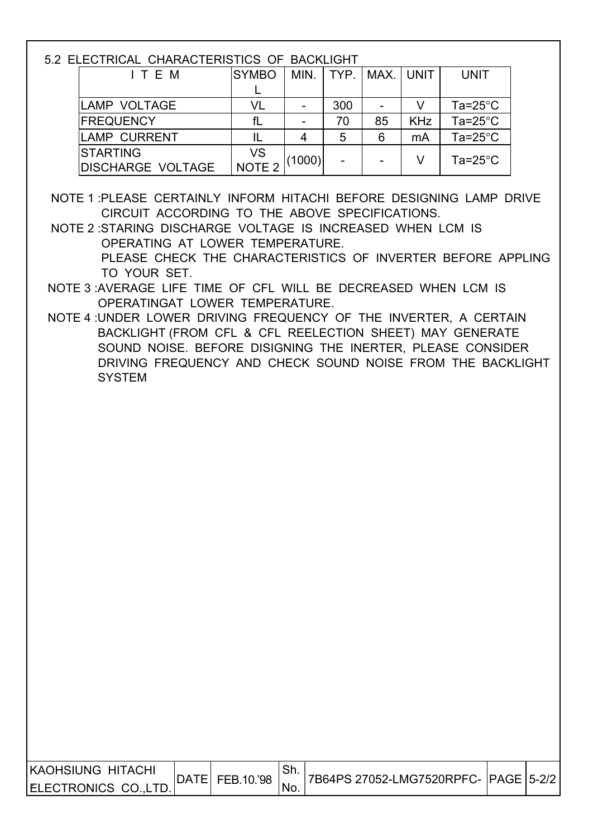5.2 ELECTRICAL CHARACTERISTICS OF BACKLIGHT

| ITEM                     | <b>SYMBO</b>      | MIN.                     |     | TYP.   MAX.   UNIT |            | <b>UNIT</b>        |
|--------------------------|-------------------|--------------------------|-----|--------------------|------------|--------------------|
|                          |                   |                          |     |                    |            |                    |
| LAMP VOLTAGE             | VL                | $\overline{\phantom{0}}$ | 300 |                    |            | Ta=25 $^{\circ}$ C |
| <b>FREQUENCY</b>         |                   | $\overline{\phantom{0}}$ | 70  | 85                 | <b>KHz</b> | Ta= $25^{\circ}$ C |
| <b>ILAMP CURRENT</b>     |                   |                          | 5   | 6                  | mA         | Ta=25 $^{\circ}$ C |
| <b>ISTARTING</b>         | <b>VS</b>         |                          |     |                    |            | Ta= $25^{\circ}$ C |
| <b>DISCHARGE VOLTAGE</b> | NOTE <sub>2</sub> | (1000)                   |     |                    |            |                    |

 NOTE 1 :PLEASE CERTAINLY INFORM HITACHI BEFORE DESIGNING LAMP DRIVE CIRCUIT ACCORDING TO THE ABOVE SPECIFICATIONS.

 NOTE 2 :STARING DISCHARGE VOLTAGE IS INCREASED WHEN LCM IS OPERATING AT LOWER TEMPERATURE. PLEASE CHECK THE CHARACTERISTICS OF INVERTER BEFORE APPLING TO YOUR SET.

- NOTE 3 :AVERAGE LIFE TIME OF CFL WILL BE DECREASED WHEN LCM IS OPERATINGAT LOWER TEMPERATURE.
- NOTE 4 :UNDER LOWER DRIVING FREQUENCY OF THE INVERTER, A CERTAIN BACKLIGHT (FROM CFL & CFL REELECTION SHEET) MAY GENERATE SOUND NOISE. BEFORE DISIGNING THE INERTER, PLEASE CONSIDER DRIVING FREQUENCY AND CHECK SOUND NOISE FROM THE BACKLIGHT SYSTEM

| KAOHSIUNG HITACHI    | DATE | FEB.10.'98 | . ا اب |  |  |
|----------------------|------|------------|--------|--|--|
| ELECTRONICS CO.,LTD. |      |            | 'No.   |  |  |
|                      |      |            |        |  |  |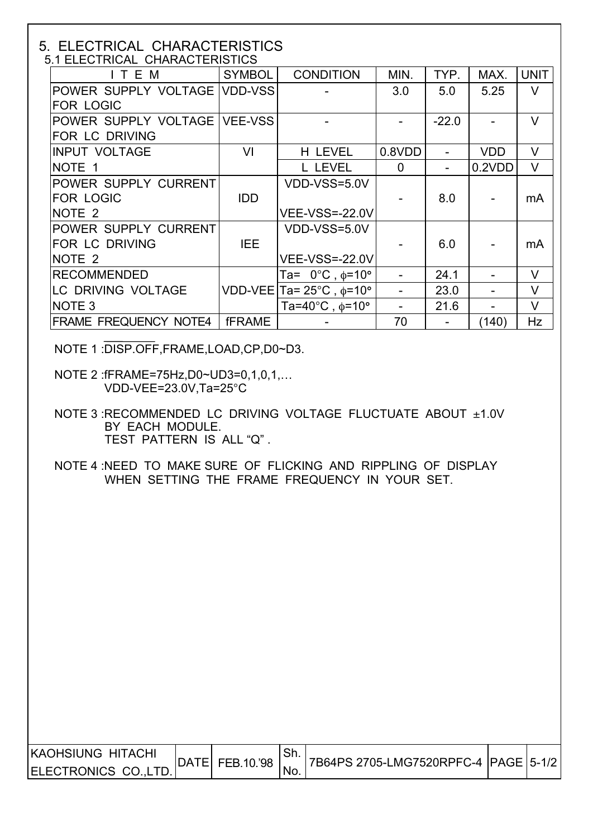# 5. ELECTRICAL CHARACTERISTICS

| 5.1 ELECTRICAL CHARACTERISTICS |               |                                           |                |         |            |             |  |
|--------------------------------|---------------|-------------------------------------------|----------------|---------|------------|-------------|--|
| ITEM                           | <b>SYMBOL</b> | <b>CONDITION</b>                          | MIN.           | TYP.    | MAX.       | <b>UNIT</b> |  |
| POWER SUPPLY VOLTAGE VDD-VSS   |               |                                           | 3.0            | 5.0     | 5.25       | V           |  |
| <b>FOR LOGIC</b>               |               |                                           |                |         |            |             |  |
| POWER SUPPLY VOLTAGE VEE-VSS   |               |                                           |                | $-22.0$ |            | $\vee$      |  |
| <b>FOR LC DRIVING</b>          |               |                                           |                |         |            |             |  |
| <b>INPUT VOLTAGE</b>           | VI            | H LEVEL                                   | 0.8VDD         |         | <b>VDD</b> | $\vee$      |  |
| NOTE 1                         |               | L LEVEL                                   | $\overline{0}$ |         | 0.2VDD     | $\vee$      |  |
| POWER SUPPLY CURRENT           |               | VDD-VSS=5.0V                              |                |         |            |             |  |
| <b>FOR LOGIC</b>               | <b>IDD</b>    |                                           |                | 8.0     |            | mA          |  |
| NOTE <sub>2</sub>              |               | <b>VEE-VSS=-22.0V</b>                     |                |         |            |             |  |
| POWER SUPPLY CURRENT           |               | VDD-VSS=5.0V                              |                |         |            |             |  |
| <b>FOR LC DRIVING</b>          | IEE.          |                                           |                | 6.0     |            | mA          |  |
| NOTE <sub>2</sub>              |               | <b>VEE-VSS=-22.0V</b>                     |                |         |            |             |  |
| <b>RECOMMENDED</b>             |               | Ta= $0^{\circ}$ C, $\phi$ =10°            |                | 24.1    |            | V           |  |
| LC DRIVING VOLTAGE             |               | VDD-VEE Ta= $25^{\circ}$ C, $\phi$ =10°   |                | 23.0    |            | $\vee$      |  |
| NOTE <sub>3</sub>              |               | Ta=40 $^{\circ}$ C, $\phi$ =10 $^{\circ}$ |                | 21.6    |            | V           |  |
| <b>FRAME FREQUENCY NOTE4</b>   | <b>fFRAME</b> |                                           | 70             |         | (140)      | Hz          |  |

NOTE 1 :DISP.OFF,FRAME,LOAD,CP,D0~D3.

 NOTE 2 :fFRAME=75Hz,D0~UD3=0,1,0,1,… VDD-VEE=23.0V,Ta=25°C

 NOTE 3 :RECOMMENDED LC DRIVING VOLTAGE FLUCTUATE ABOUT ±1.0V BY EACH MODULE. TEST PATTERN IS ALL "Q" .

 NOTE 4 :NEED TO MAKE SURE OF FLICKING AND RIPPLING OF DISPLAY WHEN SETTING THE FRAME FREQUENCY IN YOUR SET.

| IKAOHSIUNG HITACHI  | DATEL |            |      |  |  |
|---------------------|-------|------------|------|--|--|
| IELECTRONICS COLTD. |       | FEB.10.'98 | 'NO. |  |  |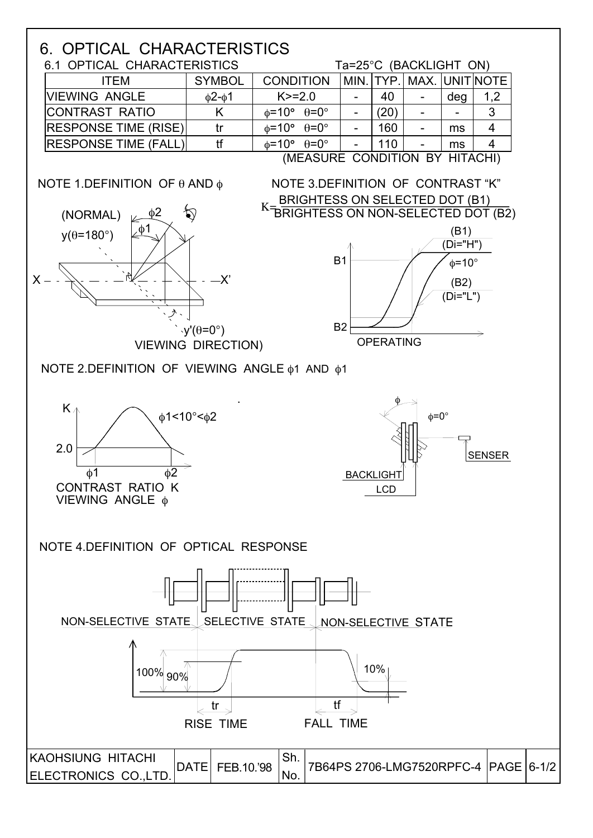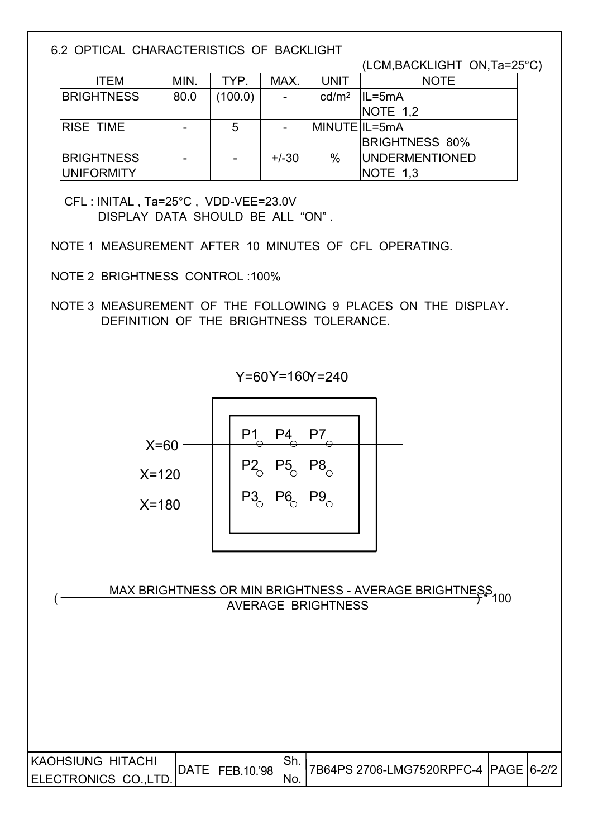6.2 OPTICAL CHARACTERISTICS OF BACKLIGHT

(LCM,BACKLIGHT ON,Ta=25°C)

| <b>ITEM</b>       | MIN.                     | TYP.                     | MAX.           | <b>UNIT</b>       | <b>NOTE</b>            |
|-------------------|--------------------------|--------------------------|----------------|-------------------|------------------------|
| <b>BRIGHTNESS</b> | 80.0                     | (100.0)                  | $\blacksquare$ | cd/m <sup>2</sup> | $ IL=5mA$              |
|                   |                          |                          |                |                   | NOTE $1,2$             |
| <b>RISE TIME</b>  | $\overline{\phantom{0}}$ | 5                        |                | MINUTE IL=5mA     |                        |
|                   |                          |                          |                |                   | <b>BRIGHTNESS 80%</b>  |
| <b>BRIGHTNESS</b> | $\overline{\phantom{0}}$ | $\overline{\phantom{a}}$ | $+/-30$        | $\%$              | <b>IUNDERMENTIONED</b> |
| <b>UNIFORMITY</b> |                          |                          |                |                   | NOTE 1,3               |

 CFL : INITAL , Ta=25°C , VDD-VEE=23.0V DISPLAY DATA SHOULD BE ALL "ON" .

NOTE 1 MEASUREMENT AFTER 10 MINUTES OF CFL OPERATING.

NOTE 2 BRIGHTNESS CONTROL :100%

 NOTE 3 MEASUREMENT OF THE FOLLOWING 9 PLACES ON THE DISPLAY. DEFINITION OF THE BRIGHTNESS TOLERANCE.

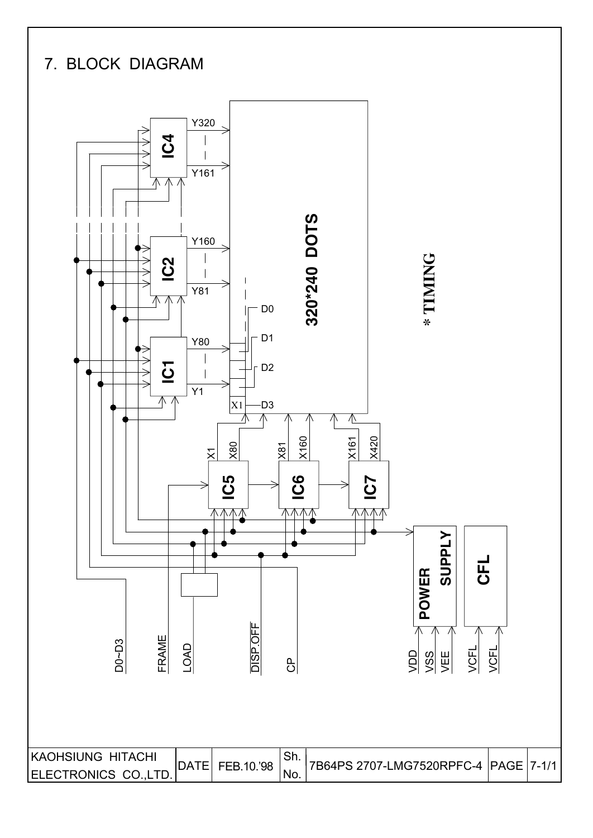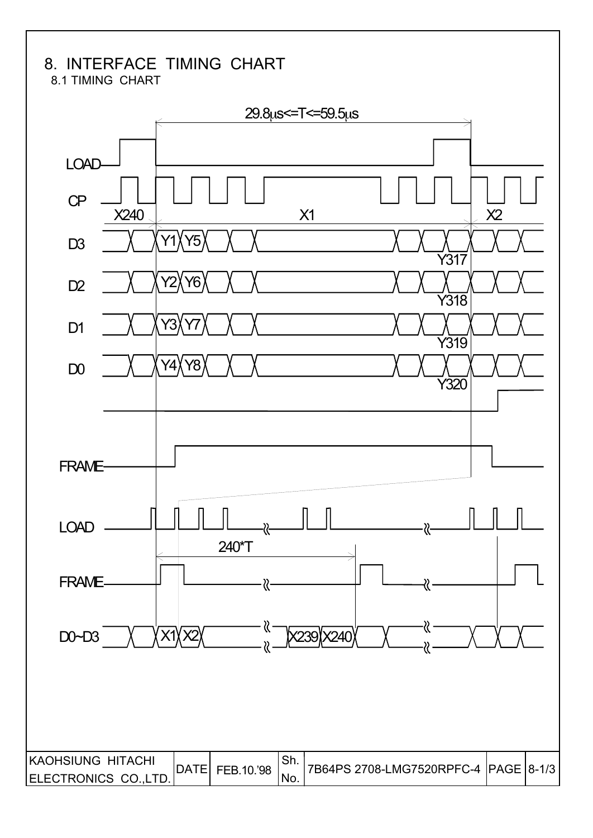## 8. INTERFACE TIMING CHART

8.1 TIMING CHART

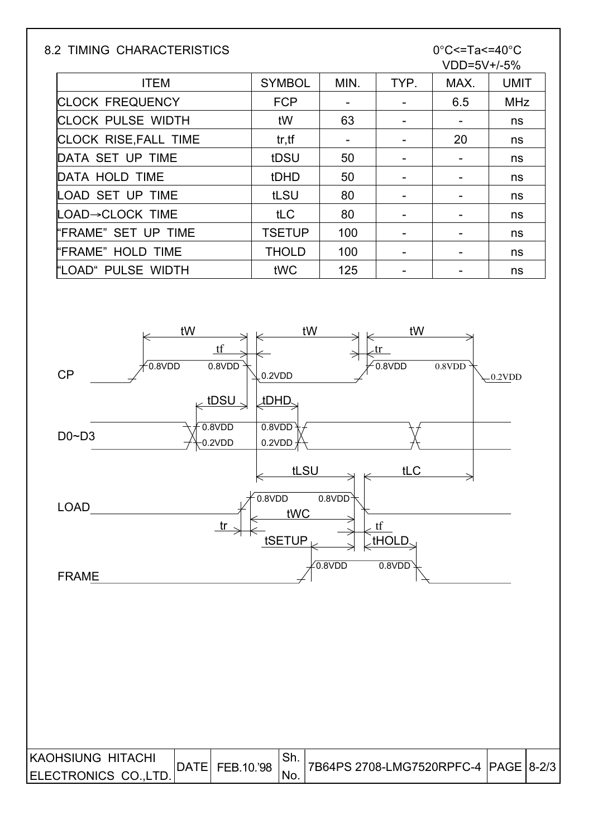### 8.2 TIMING CHARACTERISTICS 0°C<=Ta<=40°C

# VDD=5V+/-5%

| <b>ITEM</b>                  | <b>SYMBOL</b> | MIN.                     | TYP. | MAX. | <b>UMIT</b> |
|------------------------------|---------------|--------------------------|------|------|-------------|
| <b>CLOCK FREQUENCY</b>       | <b>FCP</b>    |                          |      | 6.5  | <b>MHz</b>  |
| <b>CLOCK PULSE WIDTH</b>     | tW            | 63                       |      |      | ns          |
| <b>CLOCK RISE, FALL TIME</b> | tr, tf        | $\overline{\phantom{a}}$ |      | 20   | ns          |
| DATA SET UP TIME             | tDSU          | 50                       |      |      | ns          |
| DATA HOLD TIME               | tDHD          | 50                       |      |      | ns          |
| LOAD SET UP TIME             | tLSU          | 80                       |      |      | ns          |
| <b>LOAD→CLOCK TIME</b>       | tLC           | 80                       |      |      | ns          |
| "FRAME" SET UP TIME          | <b>TSETUP</b> | 100                      |      |      | ns          |
| "FRAME" HOLD TIME            | <b>THOLD</b>  | 100                      |      |      | ns          |
| "LOAD" PULSE WIDTH           | tWC           | 125                      |      |      | ns          |

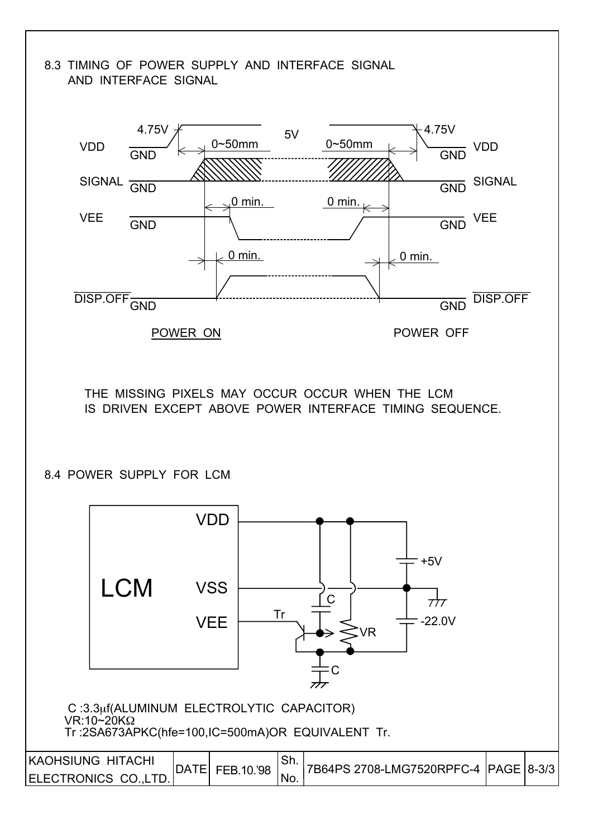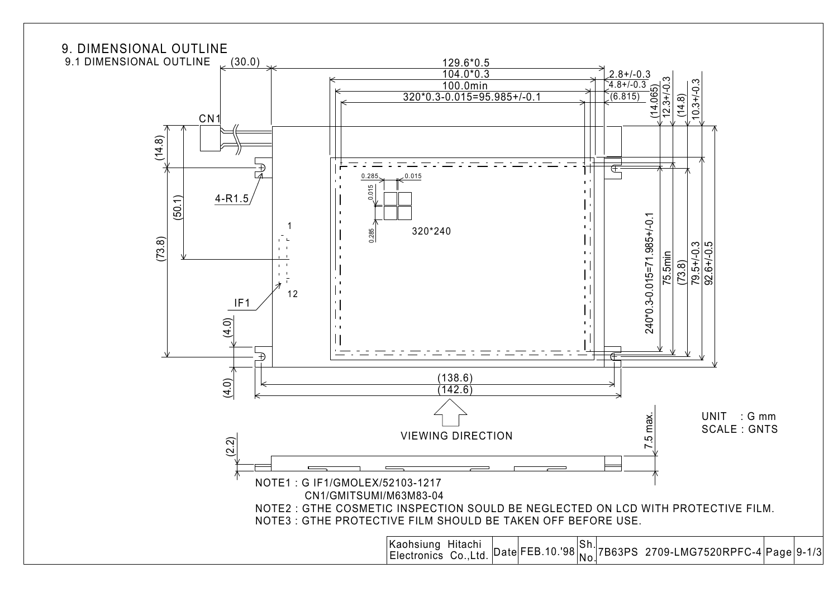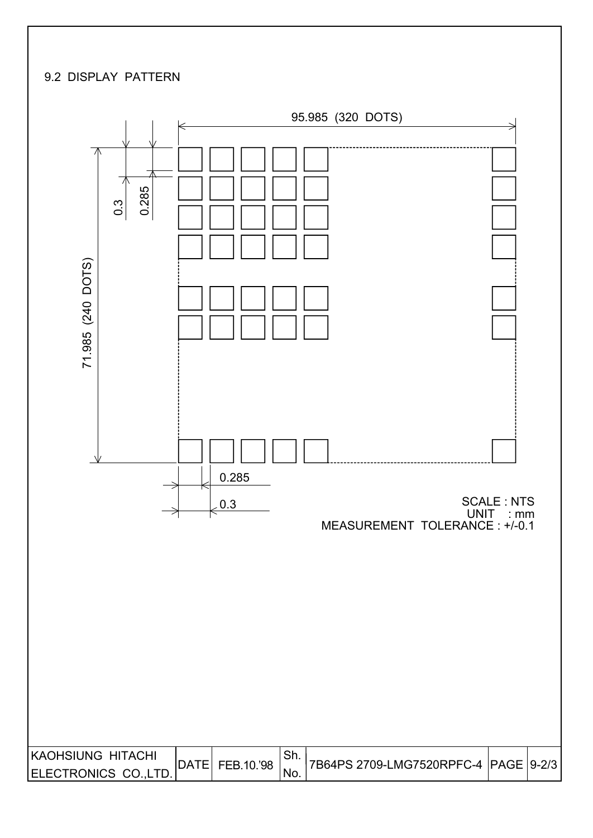### 9.2 DISPLAY PATTERN

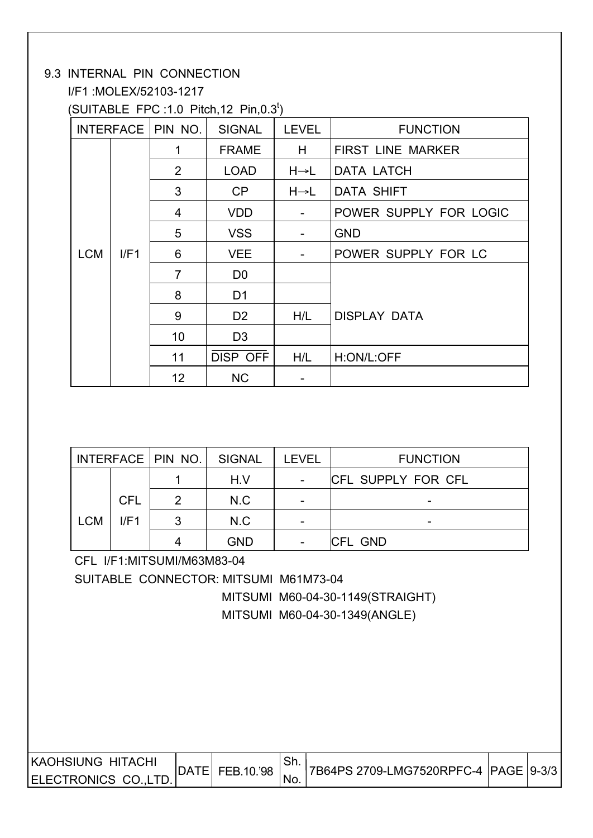### 9.3 INTERNAL PIN CONNECTION

I/F1 :MOLEX/52103-1217

 $(SUITABLE FPC:1.0 Pitch, 12 Pin, 0.3<sup>t</sup>)$ 

|            |      | INTERFACE   PIN NO. | <b>SIGNAL</b>   | <b>LEVEL</b>      | <b>FUNCTION</b>          |
|------------|------|---------------------|-----------------|-------------------|--------------------------|
|            |      | 1                   | <b>FRAME</b>    | H                 | <b>FIRST LINE MARKER</b> |
|            |      | 2                   | <b>LOAD</b>     | $H \rightarrow L$ | <b>DATA LATCH</b>        |
|            |      | 3                   | CP              | $H\rightarrow L$  | DATA SHIFT               |
|            |      | 4                   | <b>VDD</b>      | Ξ.                | POWER SUPPLY FOR LOGIC   |
|            |      | 5                   | <b>VSS</b>      |                   | <b>GND</b>               |
| <b>LCM</b> | I/F1 | 6                   | <b>VEE</b>      |                   | POWER SUPPLY FOR LC      |
|            |      | $\overline{7}$      | D <sub>0</sub>  |                   |                          |
|            |      | 8                   | D <sub>1</sub>  |                   |                          |
|            |      | 9                   | D <sub>2</sub>  | H/L               | <b>DISPLAY DATA</b>      |
|            |      | 10                  | D <sub>3</sub>  |                   |                          |
|            |      | 11                  | <b>DISP OFF</b> | H/L               | H:ON/L:OFF               |
|            |      | 12 <sup>2</sup>     | <b>NC</b>       |                   |                          |

|            |            | INTERFACE   PIN NO. | SIGNAL     | <b>LEVEL</b>    | <b>FUNCTION</b>           |
|------------|------------|---------------------|------------|-----------------|---------------------------|
|            |            |                     | H.V        | $\qquad \qquad$ | <b>CFL SUPPLY FOR CFL</b> |
|            | <b>CFL</b> |                     | N.C        |                 |                           |
| <b>LCM</b> | I/F1       | ર                   | N.C        |                 | -                         |
|            |            |                     | <b>GND</b> |                 | <b>CFL GND</b>            |

CFL I/F1:MITSUMI/M63M83-04

SUITABLE CONNECTOR: MITSUMI M61M73-04

 MITSUMI M60-04-30-1149(STRAIGHT) MITSUMI M60-04-30-1349(ANGLE)

| <b>IKAOHSIUNG HITACHI</b> | FEB.10.'98 | . ا اب | 7B64PS 2709-LMG7520RPFC-4  PAGE   9-3/3 |  |
|---------------------------|------------|--------|-----------------------------------------|--|
| <b>IELECTRONICS CO.</b>   |            | - No.  |                                         |  |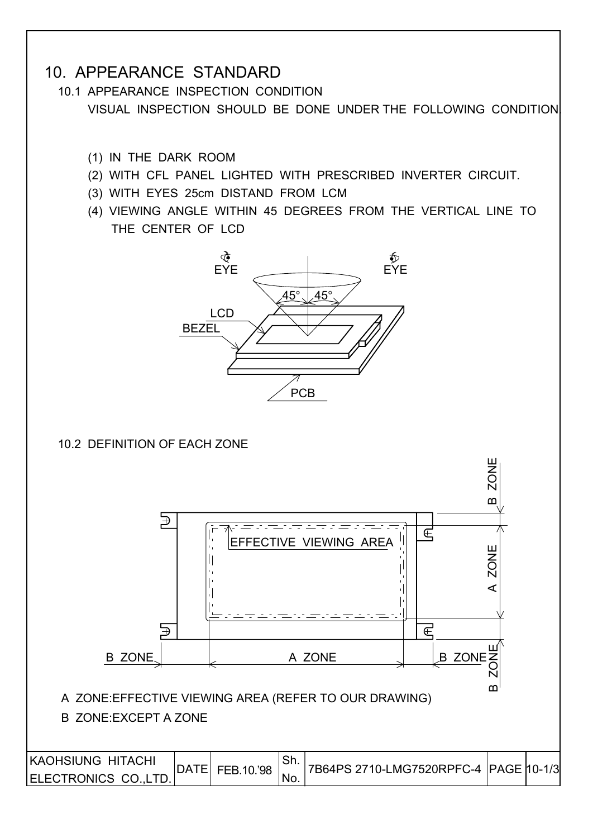### 10. APPEARANCE STANDARD

 10.1 APPEARANCE INSPECTION CONDITION VISUAL INSPECTION SHOULD BE DONE UNDER THE FOLLOWING CONDITION.

- (1) IN THE DARK ROOM
- (2) WITH CFL PANEL LIGHTED WITH PRESCRIBED INVERTER CIRCUIT.
- (3) WITH EYES 25cm DISTAND FROM LCM
- (4) VIEWING ANGLE WITHIN 45 DEGREES FROM THE VERTICAL LINE TO THE CENTER OF LCD



### 10.2 DEFINITION OF EACH ZONE

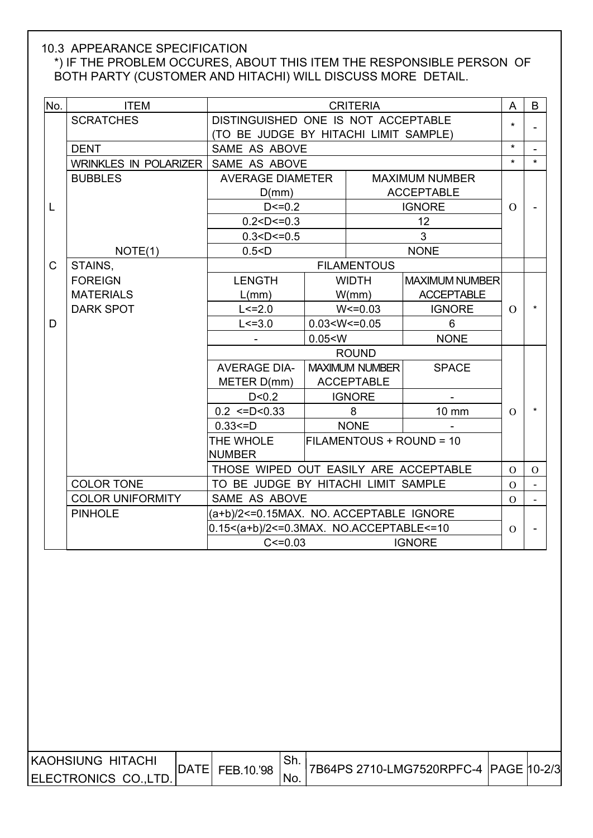### 10.3 APPEARANCE SPECIFICATION

### \*) IF THE PROBLEM OCCURES, ABOUT THIS ITEM THE RESPONSIBLE PERSON OF BOTH PARTY (CUSTOMER AND HITACHI) WILL DISCUSS MORE DETAIL.

| No.          | <b>ITEM</b>             |                                         |                                                  | <b>CRITERIA</b>       |                          | A              | B              |
|--------------|-------------------------|-----------------------------------------|--------------------------------------------------|-----------------------|--------------------------|----------------|----------------|
|              | <b>SCRATCHES</b>        | DISTINGUISHED ONE IS NOT ACCEPTABLE     |                                                  |                       |                          | $\star$        |                |
|              |                         | (TO BE JUDGE BY HITACHI LIMIT SAMPLE)   |                                                  |                       |                          |                |                |
|              | <b>DENT</b>             | SAME AS ABOVE                           |                                                  |                       |                          | $\star$        |                |
|              | WRINKLES IN POLARIZER   | SAME AS ABOVE                           |                                                  |                       |                          | $\star$        | $\star$        |
|              | <b>BUBBLES</b>          |                                         | <b>AVERAGE DIAMETER</b><br><b>MAXIMUM NUMBER</b> |                       |                          |                |                |
|              |                         | D(mm)                                   |                                                  |                       | <b>ACCEPTABLE</b>        |                |                |
| L            |                         | $D < = 0.2$                             |                                                  |                       | <b>IGNORE</b>            | $\Omega$       |                |
|              |                         | 0.2 < D < 0.3                           |                                                  |                       | 12                       |                |                |
|              |                         | 0.3 < D < 0.5                           |                                                  |                       | 3                        |                |                |
|              | NOTE(1)                 | 0.5 < D                                 |                                                  |                       | <b>NONE</b>              |                |                |
| $\mathsf{C}$ | STAINS,                 |                                         |                                                  | <b>FILAMENTOUS</b>    |                          |                |                |
|              | <b>FOREIGN</b>          | <b>LENGTH</b>                           |                                                  | <b>WIDTH</b>          | <b>MAXIMUM NUMBER</b>    |                |                |
|              | <b>MATERIALS</b>        | $L/mm$ )                                |                                                  | W/mm)                 | <b>ACCEPTABLE</b>        |                |                |
|              | <b>DARK SPOT</b>        | $L < = 2.0$                             |                                                  | $W < = 0.03$          | <b>IGNORE</b>            | $\Omega$       |                |
| D            |                         | $L < = 3.0$                             | $0.03 < W < = 0.05$                              |                       | 6                        |                |                |
|              |                         |                                         | 0.05 < W                                         |                       | <b>NONE</b>              |                |                |
|              |                         |                                         |                                                  | <b>ROUND</b>          |                          |                |                |
|              |                         | <b>AVERAGE DIA-</b>                     |                                                  | <b>MAXIMUM NUMBER</b> | <b>SPACE</b>             |                |                |
|              |                         | METER D(mm)                             |                                                  | <b>ACCEPTABLE</b>     |                          |                |                |
|              |                         | D < 0.2                                 |                                                  | <b>IGNORE</b>         |                          |                |                |
|              |                         | $0.2 \leq D \leq 0.33$                  |                                                  | 8                     | 10 mm                    | $\Omega$       |                |
|              |                         | $0.33 = D$                              |                                                  | <b>NONE</b>           |                          |                |                |
|              |                         | THE WHOLE                               |                                                  |                       | FILAMENTOUS + ROUND = 10 |                |                |
|              |                         | <b>NUMBER</b>                           |                                                  |                       |                          |                |                |
|              |                         | THOSE WIPED OUT EASILY ARE ACCEPTABLE   |                                                  |                       |                          | $\overline{O}$ | $\mathbf{O}$   |
|              | <b>COLOR TONE</b>       | TO BE JUDGE BY HITACHI LIMIT SAMPLE     |                                                  |                       |                          | $\overline{O}$ |                |
|              | <b>COLOR UNIFORMITY</b> | SAME AS ABOVE                           |                                                  |                       |                          | $\Omega$       | $\blacksquare$ |
|              | <b>PINHOLE</b>          | (a+b)/2<=0.15MAX. NO. ACCEPTABLE IGNORE |                                                  |                       |                          |                |                |
|              |                         | 0.15<(a+b)/2<=0.3MAX. NO.ACCEPTABLE<=10 |                                                  |                       |                          | $\Omega$       |                |
|              |                         | $C < = 0.03$                            |                                                  |                       | <b>IGNORE</b>            |                |                |

| IKAOHSIUNG HITACHI   | <b>DATE</b> |            | . ƏH. |  |  |
|----------------------|-------------|------------|-------|--|--|
| ELECTRONICS CO.,LTD. |             | FEB.10.'98 | No.   |  |  |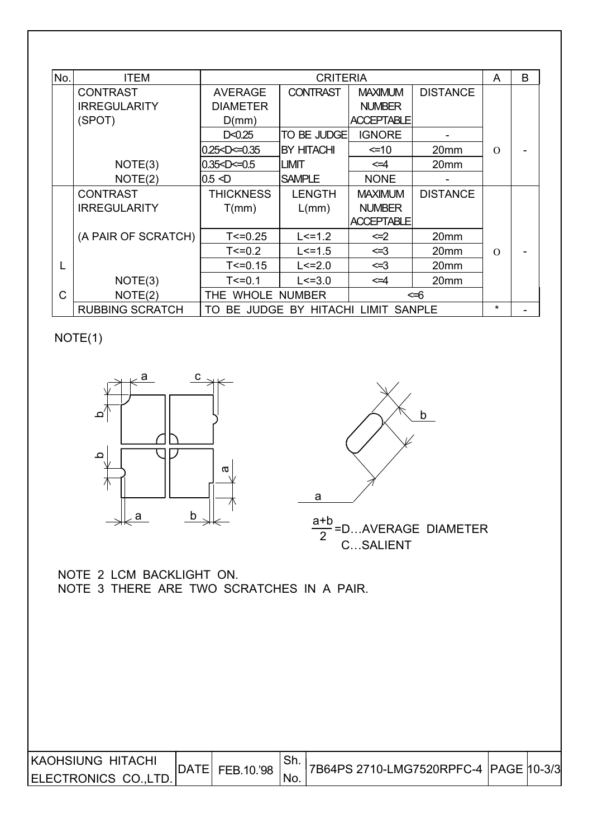| No.          | <b>ITEM</b>            |                         | <b>CRITERIA</b>                  |                      |                  | A        | B |
|--------------|------------------------|-------------------------|----------------------------------|----------------------|------------------|----------|---|
|              | <b>CONTRAST</b>        | <b>AVERAGE</b>          | <b>CONTRAST</b>                  | <b>MAXIMUM</b>       | <b>DISTANCE</b>  |          |   |
|              | <b>IRREGULARITY</b>    | <b>DIAMETER</b>         |                                  | <b>NUMBER</b>        |                  |          |   |
|              | (SPOT)                 | D(mm)                   |                                  | <b>ACCEPTABLE</b>    |                  |          |   |
|              |                        | D < 0.25                | <b>TO BE JUDGE</b>               | <b>IGNORE</b>        |                  |          |   |
|              |                        | $0.25$ < $D$ < $= 0.35$ | BY HITACHI                       | $\leq 10$            | 20 <sub>mm</sub> | $\Omega$ |   |
|              | NOTE(3)                | 0.35 < D < 0.5          | <b>LIMIT</b>                     | $\leq 4$             | 20mm             |          |   |
|              | NOTE(2)                | $0.5 \leq D$            | <b>SAMPLE</b>                    |                      |                  |          |   |
|              | <b>CONTRAST</b>        | <b>THICKNESS</b>        | <b>LENGTH</b>                    | <b>MAXIMUM</b>       | <b>DISTANCE</b>  |          |   |
|              | <b>IRREGULARITY</b>    | T(mm)                   | L/mm)                            | <b>NUMBER</b>        |                  |          |   |
|              |                        |                         |                                  | <b>ACCEPTABLE</b>    |                  |          |   |
|              | (A PAIR OF SCRATCH)    | $T < = 0.25$            | $L < = 1.2$                      | $\leq$ 2             | 20mm             |          |   |
|              |                        | $T < = 0.2$             | $L < = 1.5$                      | <=3                  | 20mm             | $\Omega$ |   |
| L            |                        | $T < = 0.15$            | $L < = 2.0$                      | <=3                  | 20mm             |          |   |
|              | NOTE(3)                | $T < = 0.1$             | $L < = 3.0$                      | $\leq$ $\leq$ $\leq$ | 20mm             |          |   |
| $\mathsf{C}$ | NOTE(2)                | THE WHOLE NUMBER<br><=6 |                                  |                      |                  |          |   |
|              | <b>RUBBING SCRATCH</b> | TO.                     | BE JUDGE BY HITACHI LIMIT SANPLE |                      |                  | $\star$  |   |

NOTE(1)





a+b  $\frac{1}{2}$ =D…AVERAGE DIAMETER C…SALIENT

 NOTE 2 LCM BACKLIGHT ON. NOTE 3 THERE ARE TWO SCRATCHES IN A PAIR.

| <b>IKAOHSIUNG HITACHI</b> | <b>DATE</b> | FEB.10.'98 | . اات |  |  |
|---------------------------|-------------|------------|-------|--|--|
| <b>IELECTRONICS CO.</b>   |             |            | No.   |  |  |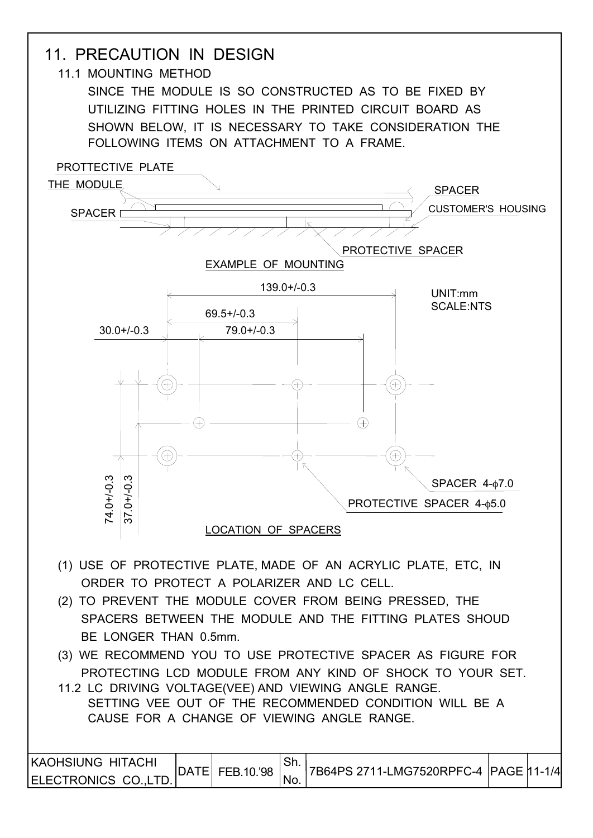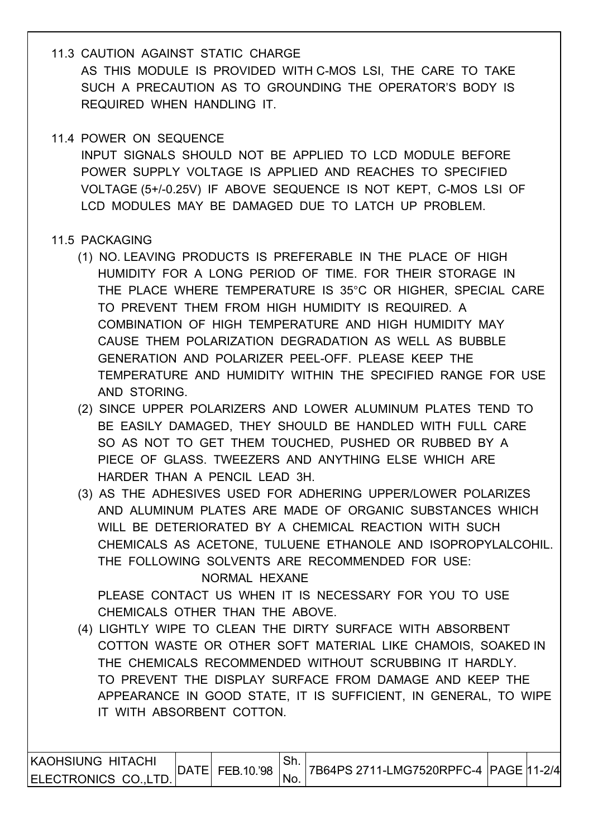- 11.3 CAUTION AGAINST STATIC CHARGE AS THIS MODULE IS PROVIDED WITH C-MOS LSI, THE CARE TO TAKE SUCH A PRECAUTION AS TO GROUNDING THE OPERATOR'S BODY IS REQUIRED WHEN HANDLING IT.
- 11.4 POWER ON SEQUENCE

 INPUT SIGNALS SHOULD NOT BE APPLIED TO LCD MODULE BEFORE POWER SUPPLY VOLTAGE IS APPLIED AND REACHES TO SPECIFIED VOLTAGE (5+/-0.25V) IF ABOVE SEQUENCE IS NOT KEPT, C-MOS LSI OF LCD MODULES MAY BE DAMAGED DUE TO LATCH UP PROBLEM.

### 11.5 PACKAGING

- (1) NO. LEAVING PRODUCTS IS PREFERABLE IN THE PLACE OF HIGH HUMIDITY FOR A LONG PERIOD OF TIME. FOR THEIR STORAGE IN THE PLACE WHERE TEMPERATURE IS 35°C OR HIGHER, SPECIAL CARE TO PREVENT THEM FROM HIGH HUMIDITY IS REQUIRED. A COMBINATION OF HIGH TEMPERATURE AND HIGH HUMIDITY MAY CAUSE THEM POLARIZATION DEGRADATION AS WELL AS BUBBLE GENERATION AND POLARIZER PEEL-OFF. PLEASE KEEP THE TEMPERATURE AND HUMIDITY WITHIN THE SPECIFIED RANGE FOR USE AND STORING.
- (2) SINCE UPPER POLARIZERS AND LOWER ALUMINUM PLATES TEND TO BE EASILY DAMAGED, THEY SHOULD BE HANDLED WITH FULL CARE SO AS NOT TO GET THEM TOUCHED, PUSHED OR RUBBED BY A PIECE OF GLASS. TWEEZERS AND ANYTHING ELSE WHICH ARE HARDER THAN A PENCIL LEAD 3H.
- (3) AS THE ADHESIVES USED FOR ADHERING UPPER/LOWER POLARIZES AND ALUMINUM PLATES ARE MADE OF ORGANIC SUBSTANCES WHICH WILL BE DETERIORATED BY A CHEMICAL REACTION WITH SUCH CHEMICALS AS ACETONE, TULUENE ETHANOLE AND ISOPROPYLALCOHIL. THE FOLLOWING SOLVENTS ARE RECOMMENDED FOR USE:

NORMAL HEXANE

PLEASE CONTACT US WHEN IT IS NECESSARY FOR YOU TO USE CHEMICALS OTHER THAN THE ABOVE.

 (4) LIGHTLY WIPE TO CLEAN THE DIRTY SURFACE WITH ABSORBENT COTTON WASTE OR OTHER SOFT MATERIAL LIKE CHAMOIS, SOAKED IN THE CHEMICALS RECOMMENDED WITHOUT SCRUBBING IT HARDLY. TO PREVENT THE DISPLAY SURFACE FROM DAMAGE AND KEEP THE APPEARANCE IN GOOD STATE, IT IS SUFFICIENT, IN GENERAL, TO WIPE IT WITH ABSORBENT COTTON.

| <b>KAOHSIUNG HITACHI</b> | <b>DATE</b> |            | <sup>⊥</sup> Sh. |  |  |
|--------------------------|-------------|------------|------------------|--|--|
| ELECTRONICS CO.LTD.      |             | FEB.10.'98 | 'No.             |  |  |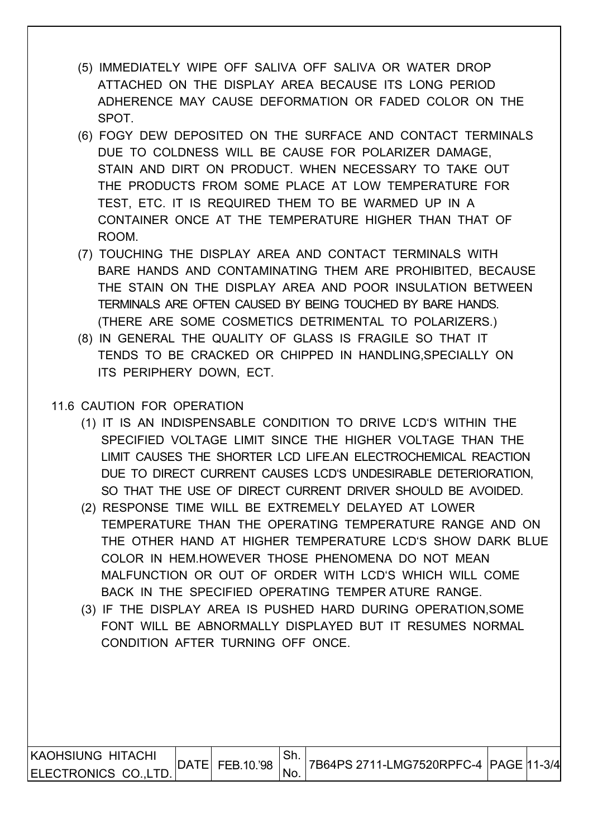- (5) IMMEDIATELY WIPE OFF SALIVA OFF SALIVA OR WATER DROP ATTACHED ON THE DISPLAY AREA BECAUSE ITS LONG PERIOD ADHERENCE MAY CAUSE DEFORMATION OR FADED COLOR ON THE SPOT.
- (6) FOGY DEW DEPOSITED ON THE SURFACE AND CONTACT TERMINALS DUE TO COLDNESS WILL BE CAUSE FOR POLARIZER DAMAGE, STAIN AND DIRT ON PRODUCT. WHEN NECESSARY TO TAKE OUT THE PRODUCTS FROM SOME PLACE AT LOW TEMPERATURE FOR TEST, ETC. IT IS REQUIRED THEM TO BE WARMED UP IN A CONTAINER ONCE AT THE TEMPERATURE HIGHER THAN THAT OF ROOM.
- (7) TOUCHING THE DISPLAY AREA AND CONTACT TERMINALS WITH BARE HANDS AND CONTAMINATING THEM ARE PROHIBITED, BECAUSE THE STAIN ON THE DISPLAY AREA AND POOR INSULATION BETWEEN TERMINALS ARE OFTEN CAUSED BY BEING TOUCHED BY BARE HANDS. (THERE ARE SOME COSMETICS DETRIMENTAL TO POLARIZERS.)
- (8) IN GENERAL THE QUALITY OF GLASS IS FRAGILE SO THAT IT TENDS TO BE CRACKED OR CHIPPED IN HANDLING,SPECIALLY ON ITS PERIPHERY DOWN, ECT.

### 11.6 CAUTION FOR OPERATION

- (1) IT IS AN INDISPENSABLE CONDITION TO DRIVE LCD'S WITHIN THE SPECIFIED VOLTAGE LIMIT SINCE THE HIGHER VOLTAGE THAN THE LIMIT CAUSES THE SHORTER LCD LIFE.AN ELECTROCHEMICAL REACTION DUE TO DIRECT CURRENT CAUSES LCD'S UNDESIRABLE DETERIORATION, SO THAT THE USE OF DIRECT CURRENT DRIVER SHOULD BE AVOIDED.
- (2) RESPONSE TIME WILL BE EXTREMELY DELAYED AT LOWER TEMPERATURE THAN THE OPERATING TEMPERATURE RANGE AND ON THE OTHER HAND AT HIGHER TEMPERATURE LCD'S SHOW DARK BLUE COLOR IN HEM.HOWEVER THOSE PHENOMENA DO NOT MEAN MALFUNCTION OR OUT OF ORDER WITH LCD'S WHICH WILL COME BACK IN THE SPECIFIED OPERATING TEMPER ATURE RANGE.
- (3) IF THE DISPLAY AREA IS PUSHED HARD DURING OPERATION,SOME FONT WILL BE ABNORMALLY DISPLAYED BUT IT RESUMES NORMAL CONDITION AFTER TURNING OFF ONCE.

| KAOHSIUNG HITACHI    |                   | . ات |                                           |  |
|----------------------|-------------------|------|-------------------------------------------|--|
| ELECTRONICS CO.,LTD. | DATE   FEB.10.'98 | NO.  | 17B64PS 2711-LMG7520RPFC-4  PAGE ∣11-3/4∣ |  |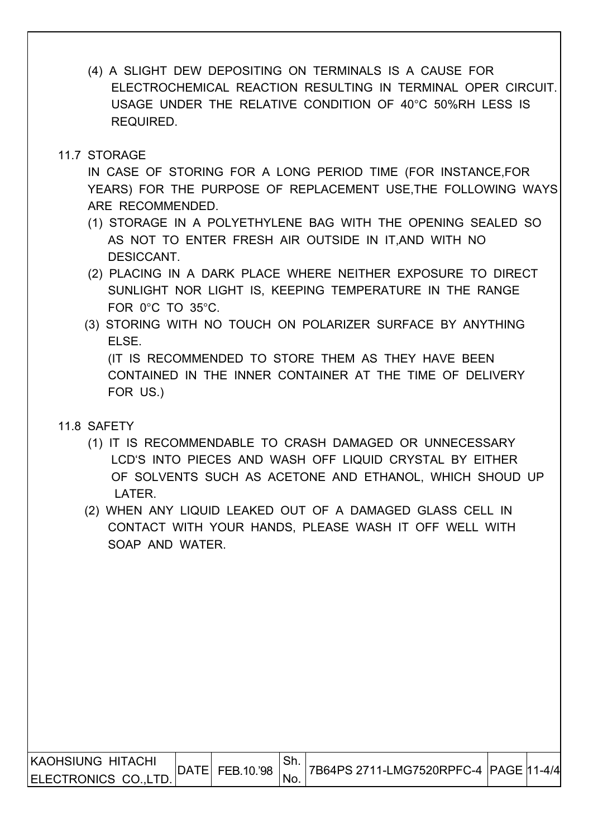(4) A SLIGHT DEW DEPOSITING ON TERMINALS IS A CAUSE FOR ELECTROCHEMICAL REACTION RESULTING IN TERMINAL OPER CIRCUIT. USAGE UNDER THE RELATIVE CONDITION OF 40°C 50%RH LESS IS REQUIRED.

### 11.7 STORAGE

 IN CASE OF STORING FOR A LONG PERIOD TIME (FOR INSTANCE,FOR YEARS) FOR THE PURPOSE OF REPLACEMENT USE,THE FOLLOWING WAYS ARE RECOMMENDED.

- (1) STORAGE IN A POLYETHYLENE BAG WITH THE OPENING SEALED SO AS NOT TO ENTER FRESH AIR OUTSIDE IN IT,AND WITH NO DESICCANT.
- (2) PLACING IN A DARK PLACE WHERE NEITHER EXPOSURE TO DIRECT SUNLIGHT NOR LIGHT IS, KEEPING TEMPERATURE IN THE RANGE FOR 0°C TO 35°C.
- (3) STORING WITH NO TOUCH ON POLARIZER SURFACE BY ANYTHING ELSE. (IT IS RECOMMENDED TO STORE THEM AS THEY HAVE BEEN

 CONTAINED IN THE INNER CONTAINER AT THE TIME OF DELIVERY FOR US.)

- 11.8 SAFETY
	- (1) IT IS RECOMMENDABLE TO CRASH DAMAGED OR UNNECESSARY LCD'S INTO PIECES AND WASH OFF LIQUID CRYSTAL BY EITHER OF SOLVENTS SUCH AS ACETONE AND ETHANOL, WHICH SHOUD UP LATER.
	- (2) WHEN ANY LIQUID LEAKED OUT OF A DAMAGED GLASS CELL IN CONTACT WITH YOUR HANDS, PLEASE WASH IT OFF WELL WITH SOAP AND WATER.

| IKAOHSIUNG HITACHI | <b>DATE</b> |                | <sup>∣</sup> Sh. |  |  |
|--------------------|-------------|----------------|------------------|--|--|
| ELECTRONICS CO.,LT |             | [E  FEB.10.'98 | No.              |  |  |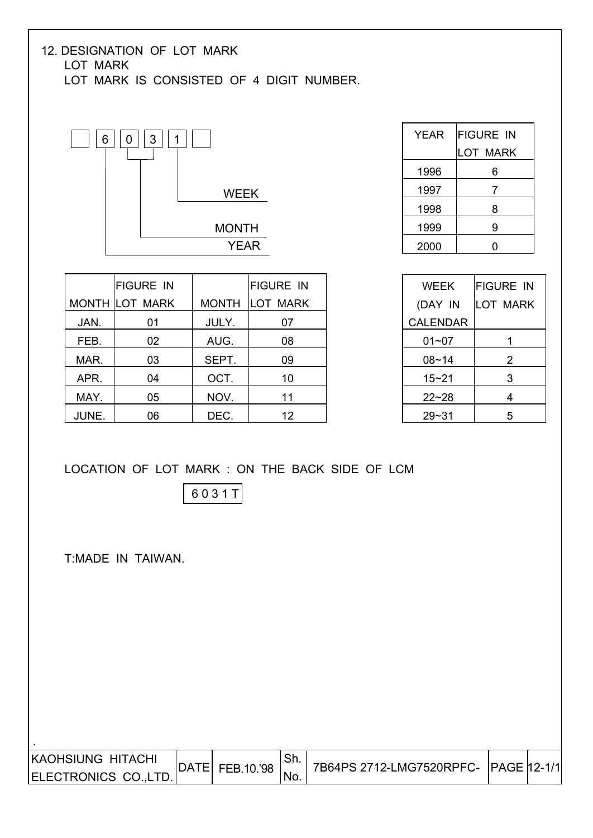#### 12. DESIGNATION OF LOT MARK LOT MARK LOT MARK IS CONSISTED OF 4 DIGIT NUMBER.



| YEAR | <b>FIGURE IN</b> |
|------|------------------|
|      | LOT MARK         |
| 1996 | 6                |
| 1997 | 7                |
| 1998 | 8                |
| 1999 | 9                |
| 2000 |                  |

|       | <b>FIGURE IN</b>      |              | <b>FIGURE IN</b> |
|-------|-----------------------|--------------|------------------|
|       | <b>MONTH LOT MARK</b> | <b>MONTH</b> | <b>LOT MARK</b>  |
| JAN.  | 01                    | JULY.        | 07               |
| FEB.  | 02                    | AUG.         | 08               |
| MAR.  | 03                    | SEPT.        | 09               |
| APR.  | 04                    | OCT.         | 10               |
| MAY.  | 05                    | NOV.         | 11               |
| JUNE. | 06                    | DEC.         | 12               |

| <b>WEEK</b>     | <b>FIGURE IN</b> |  |
|-----------------|------------------|--|
| (DAY IN         | <b>LOT MARK</b>  |  |
| <b>CALENDAR</b> |                  |  |
| 01~07           |                  |  |
| $08 - 14$       | 2                |  |
| $15 - 21$       | 3                |  |
| $22 - 28$       | 4                |  |
| 29~31           | 5                |  |

### LOCATION OF LOT MARK : ON THE BACK SIDE OF LCM

6 0 3 1 T

T:MADE IN TAIWAN.

| <b>KAOHSIUNG HITACHI</b> | IDATEI | FEB.10.'98 |     | 7B64PS 2712-LMG7520RPFC- PAGE 12-1/1 |  |
|--------------------------|--------|------------|-----|--------------------------------------|--|
| ELECTRONICS CO., LTD.    |        |            | NO. |                                      |  |